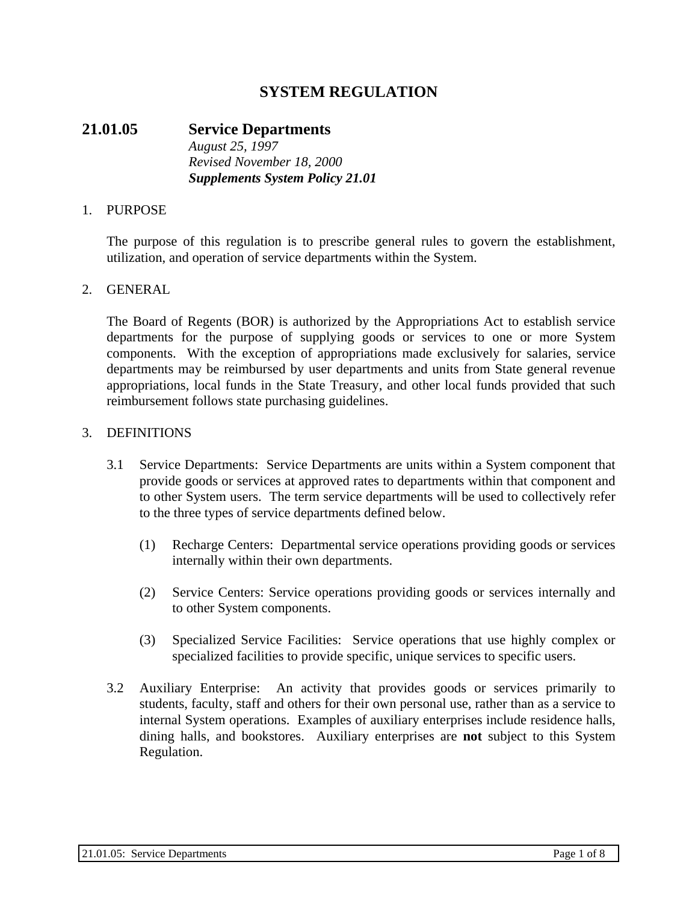# **SYSTEM REGULATION**

### **21.01.05 Service Departments** *August 25, 1997 Revised November 18, 2000 Supplements System Policy 21.01*

#### 1. PURPOSE

The purpose of this regulation is to prescribe general rules to govern the establishment, utilization, and operation of service departments within the System.

#### 2. GENERAL

The Board of Regents (BOR) is authorized by the Appropriations Act to establish service departments for the purpose of supplying goods or services to one or more System components. With the exception of appropriations made exclusively for salaries, service departments may be reimbursed by user departments and units from State general revenue appropriations, local funds in the State Treasury, and other local funds provided that such reimbursement follows state purchasing guidelines.

#### 3. DEFINITIONS

- 3.1 Service Departments: Service Departments are units within a System component that provide goods or services at approved rates to departments within that component and to other System users. The term service departments will be used to collectively refer to the three types of service departments defined below.
	- (1) Recharge Centers: Departmental service operations providing goods or services internally within their own departments.
	- (2) Service Centers: Service operations providing goods or services internally and to other System components.
	- (3) Specialized Service Facilities: Service operations that use highly complex or specialized facilities to provide specific, unique services to specific users.
- 3.2 Auxiliary Enterprise: An activity that provides goods or services primarily to students, faculty, staff and others for their own personal use, rather than as a service to internal System operations. Examples of auxiliary enterprises include residence halls, dining halls, and bookstores. Auxiliary enterprises are **not** subject to this System Regulation.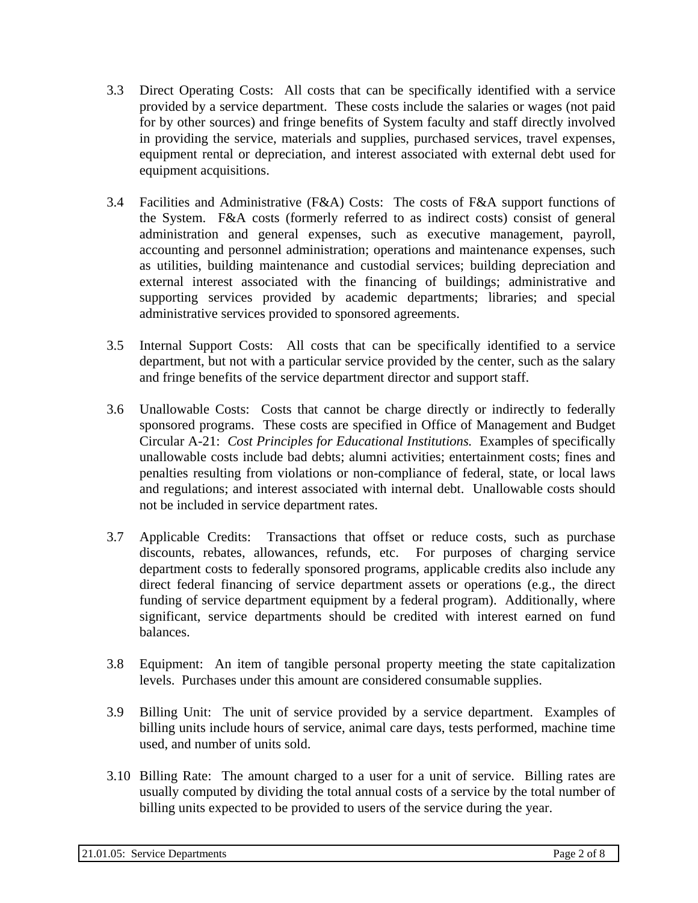- 3.3 Direct Operating Costs: All costs that can be specifically identified with a service provided by a service department. These costs include the salaries or wages (not paid for by other sources) and fringe benefits of System faculty and staff directly involved in providing the service, materials and supplies, purchased services, travel expenses, equipment rental or depreciation, and interest associated with external debt used for equipment acquisitions.
- 3.4 Facilities and Administrative (F&A) Costs: The costs of F&A support functions of the System. F&A costs (formerly referred to as indirect costs) consist of general administration and general expenses, such as executive management, payroll, accounting and personnel administration; operations and maintenance expenses, such as utilities, building maintenance and custodial services; building depreciation and external interest associated with the financing of buildings; administrative and supporting services provided by academic departments; libraries; and special administrative services provided to sponsored agreements.
- 3.5 Internal Support Costs: All costs that can be specifically identified to a service department, but not with a particular service provided by the center, such as the salary and fringe benefits of the service department director and support staff.
- 3.6 Unallowable Costs: Costs that cannot be charge directly or indirectly to federally sponsored programs. These costs are specified in Office of Management and Budget Circular A-21: *Cost Principles for Educational Institutions.* Examples of specifically unallowable costs include bad debts; alumni activities; entertainment costs; fines and penalties resulting from violations or non-compliance of federal, state, or local laws and regulations; and interest associated with internal debt. Unallowable costs should not be included in service department rates.
- 3.7 Applicable Credits: Transactions that offset or reduce costs, such as purchase discounts, rebates, allowances, refunds, etc. For purposes of charging service department costs to federally sponsored programs, applicable credits also include any direct federal financing of service department assets or operations (e.g., the direct funding of service department equipment by a federal program). Additionally, where significant, service departments should be credited with interest earned on fund balances.
- 3.8 Equipment: An item of tangible personal property meeting the state capitalization levels. Purchases under this amount are considered consumable supplies.
- 3.9 Billing Unit: The unit of service provided by a service department. Examples of billing units include hours of service, animal care days, tests performed, machine time used, and number of units sold.
- 3.10 Billing Rate: The amount charged to a user for a unit of service. Billing rates are usually computed by dividing the total annual costs of a service by the total number of billing units expected to be provided to users of the service during the year.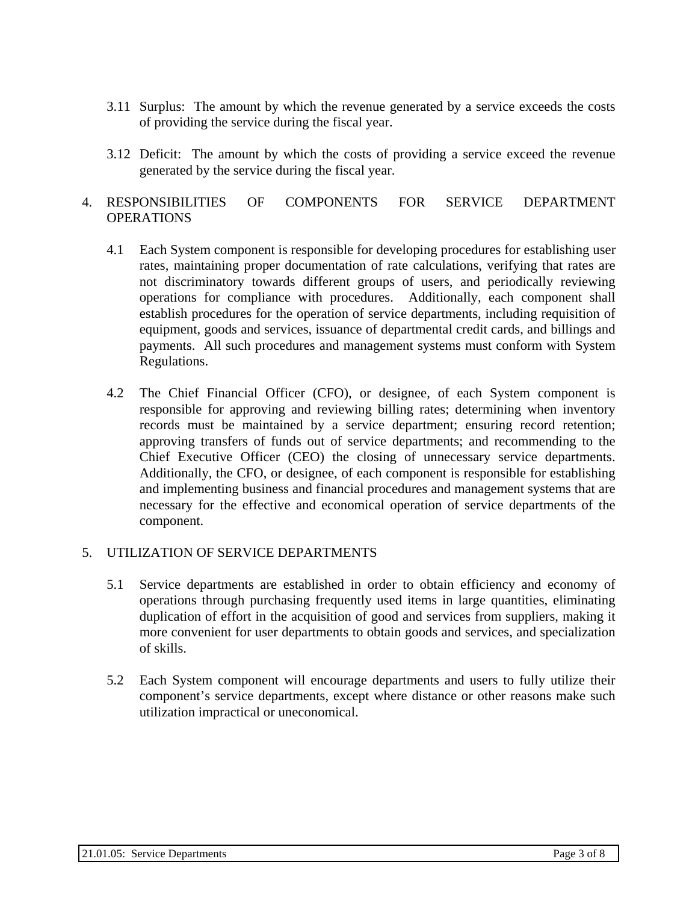- 3.11 Surplus: The amount by which the revenue generated by a service exceeds the costs of providing the service during the fiscal year.
- 3.12 Deficit: The amount by which the costs of providing a service exceed the revenue generated by the service during the fiscal year.

### 4. RESPONSIBILITIES OF COMPONENTS FOR SERVICE DEPARTMENT **OPERATIONS**

- 4.1 Each System component is responsible for developing procedures for establishing user rates, maintaining proper documentation of rate calculations, verifying that rates are not discriminatory towards different groups of users, and periodically reviewing operations for compliance with procedures. Additionally, each component shall establish procedures for the operation of service departments, including requisition of equipment, goods and services, issuance of departmental credit cards, and billings and payments. All such procedures and management systems must conform with System Regulations.
- 4.2 The Chief Financial Officer (CFO), or designee, of each System component is responsible for approving and reviewing billing rates; determining when inventory records must be maintained by a service department; ensuring record retention; approving transfers of funds out of service departments; and recommending to the Chief Executive Officer (CEO) the closing of unnecessary service departments. Additionally, the CFO, or designee, of each component is responsible for establishing and implementing business and financial procedures and management systems that are necessary for the effective and economical operation of service departments of the component.

# 5. UTILIZATION OF SERVICE DEPARTMENTS

- 5.1 Service departments are established in order to obtain efficiency and economy of operations through purchasing frequently used items in large quantities, eliminating duplication of effort in the acquisition of good and services from suppliers, making it more convenient for user departments to obtain goods and services, and specialization of skills.
- 5.2 Each System component will encourage departments and users to fully utilize their component's service departments, except where distance or other reasons make such utilization impractical or uneconomical.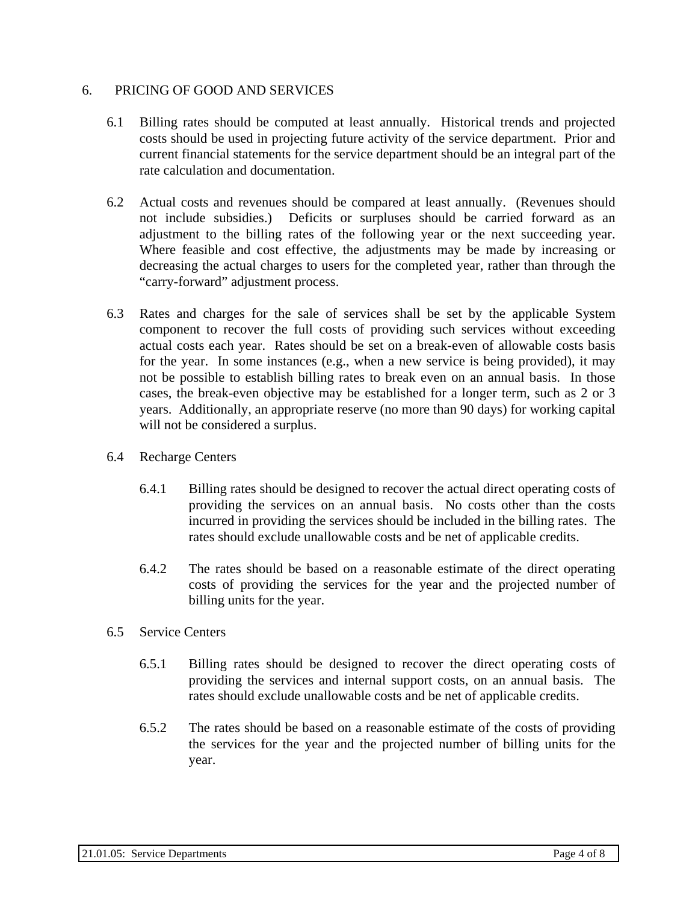### 6. PRICING OF GOOD AND SERVICES

- 6.1 Billing rates should be computed at least annually. Historical trends and projected costs should be used in projecting future activity of the service department. Prior and current financial statements for the service department should be an integral part of the rate calculation and documentation.
- 6.2 Actual costs and revenues should be compared at least annually. (Revenues should not include subsidies.) Deficits or surpluses should be carried forward as an adjustment to the billing rates of the following year or the next succeeding year. Where feasible and cost effective, the adjustments may be made by increasing or decreasing the actual charges to users for the completed year, rather than through the "carry-forward" adjustment process.
- 6.3 Rates and charges for the sale of services shall be set by the applicable System component to recover the full costs of providing such services without exceeding actual costs each year. Rates should be set on a break-even of allowable costs basis for the year. In some instances (e.g., when a new service is being provided), it may not be possible to establish billing rates to break even on an annual basis. In those cases, the break-even objective may be established for a longer term, such as 2 or 3 years. Additionally, an appropriate reserve (no more than 90 days) for working capital will not be considered a surplus.
- 6.4 Recharge Centers
	- 6.4.1 Billing rates should be designed to recover the actual direct operating costs of providing the services on an annual basis. No costs other than the costs incurred in providing the services should be included in the billing rates. The rates should exclude unallowable costs and be net of applicable credits.
	- 6.4.2 The rates should be based on a reasonable estimate of the direct operating costs of providing the services for the year and the projected number of billing units for the year.
- 6.5 Service Centers
	- 6.5.1 Billing rates should be designed to recover the direct operating costs of providing the services and internal support costs, on an annual basis. The rates should exclude unallowable costs and be net of applicable credits.
	- 6.5.2 The rates should be based on a reasonable estimate of the costs of providing the services for the year and the projected number of billing units for the year.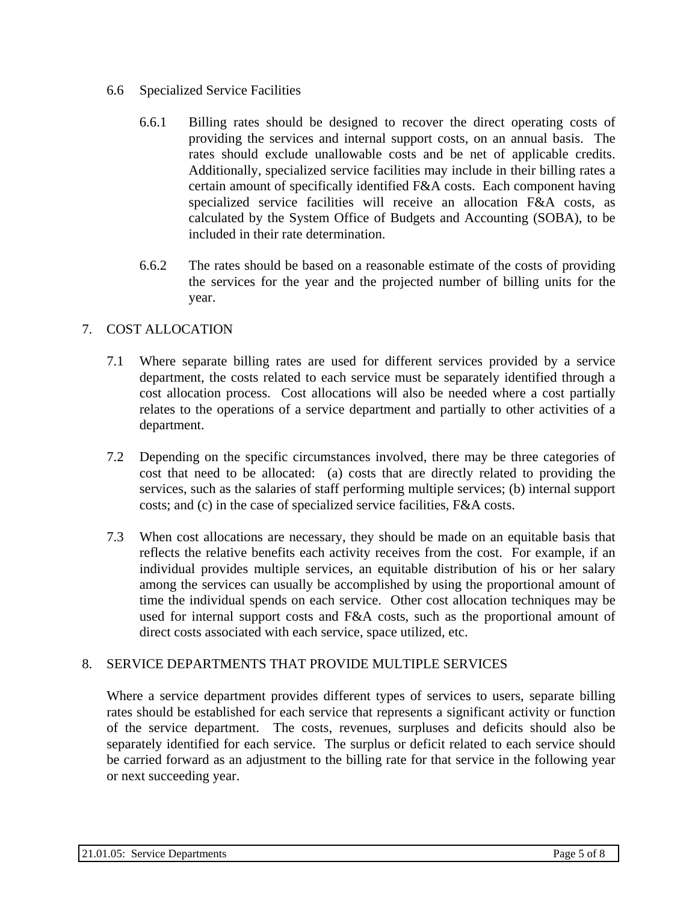### 6.6 Specialized Service Facilities

- 6.6.1 Billing rates should be designed to recover the direct operating costs of providing the services and internal support costs, on an annual basis. The rates should exclude unallowable costs and be net of applicable credits. Additionally, specialized service facilities may include in their billing rates a certain amount of specifically identified F&A costs. Each component having specialized service facilities will receive an allocation F&A costs, as calculated by the System Office of Budgets and Accounting (SOBA), to be included in their rate determination.
- 6.6.2 The rates should be based on a reasonable estimate of the costs of providing the services for the year and the projected number of billing units for the year.

# 7. COST ALLOCATION

- 7.1 Where separate billing rates are used for different services provided by a service department, the costs related to each service must be separately identified through a cost allocation process. Cost allocations will also be needed where a cost partially relates to the operations of a service department and partially to other activities of a department.
- 7.2 Depending on the specific circumstances involved, there may be three categories of cost that need to be allocated: (a) costs that are directly related to providing the services, such as the salaries of staff performing multiple services; (b) internal support costs; and (c) in the case of specialized service facilities, F&A costs.
- 7.3 When cost allocations are necessary, they should be made on an equitable basis that reflects the relative benefits each activity receives from the cost. For example, if an individual provides multiple services, an equitable distribution of his or her salary among the services can usually be accomplished by using the proportional amount of time the individual spends on each service. Other cost allocation techniques may be used for internal support costs and F&A costs, such as the proportional amount of direct costs associated with each service, space utilized, etc.

# 8. SERVICE DEPARTMENTS THAT PROVIDE MULTIPLE SERVICES

Where a service department provides different types of services to users, separate billing rates should be established for each service that represents a significant activity or function of the service department. The costs, revenues, surpluses and deficits should also be separately identified for each service. The surplus or deficit related to each service should be carried forward as an adjustment to the billing rate for that service in the following year or next succeeding year.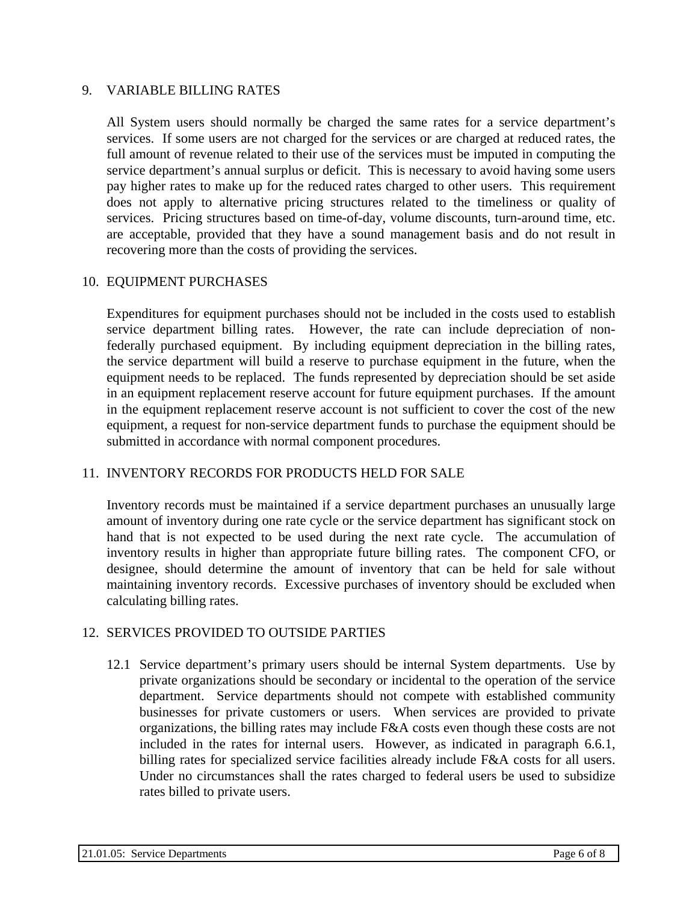#### 9. VARIABLE BILLING RATES

All System users should normally be charged the same rates for a service department's services. If some users are not charged for the services or are charged at reduced rates, the full amount of revenue related to their use of the services must be imputed in computing the service department's annual surplus or deficit. This is necessary to avoid having some users pay higher rates to make up for the reduced rates charged to other users. This requirement does not apply to alternative pricing structures related to the timeliness or quality of services. Pricing structures based on time-of-day, volume discounts, turn-around time, etc. are acceptable, provided that they have a sound management basis and do not result in recovering more than the costs of providing the services.

#### 10. EQUIPMENT PURCHASES

Expenditures for equipment purchases should not be included in the costs used to establish service department billing rates. However, the rate can include depreciation of nonfederally purchased equipment. By including equipment depreciation in the billing rates, the service department will build a reserve to purchase equipment in the future, when the equipment needs to be replaced. The funds represented by depreciation should be set aside in an equipment replacement reserve account for future equipment purchases. If the amount in the equipment replacement reserve account is not sufficient to cover the cost of the new equipment, a request for non-service department funds to purchase the equipment should be submitted in accordance with normal component procedures.

#### 11. INVENTORY RECORDS FOR PRODUCTS HELD FOR SALE

Inventory records must be maintained if a service department purchases an unusually large amount of inventory during one rate cycle or the service department has significant stock on hand that is not expected to be used during the next rate cycle. The accumulation of inventory results in higher than appropriate future billing rates. The component CFO, or designee, should determine the amount of inventory that can be held for sale without maintaining inventory records. Excessive purchases of inventory should be excluded when calculating billing rates.

#### 12. SERVICES PROVIDED TO OUTSIDE PARTIES

12.1 Service department's primary users should be internal System departments. Use by private organizations should be secondary or incidental to the operation of the service department. Service departments should not compete with established community businesses for private customers or users. When services are provided to private organizations, the billing rates may include F&A costs even though these costs are not included in the rates for internal users. However, as indicated in paragraph 6.6.1, billing rates for specialized service facilities already include F&A costs for all users. Under no circumstances shall the rates charged to federal users be used to subsidize rates billed to private users.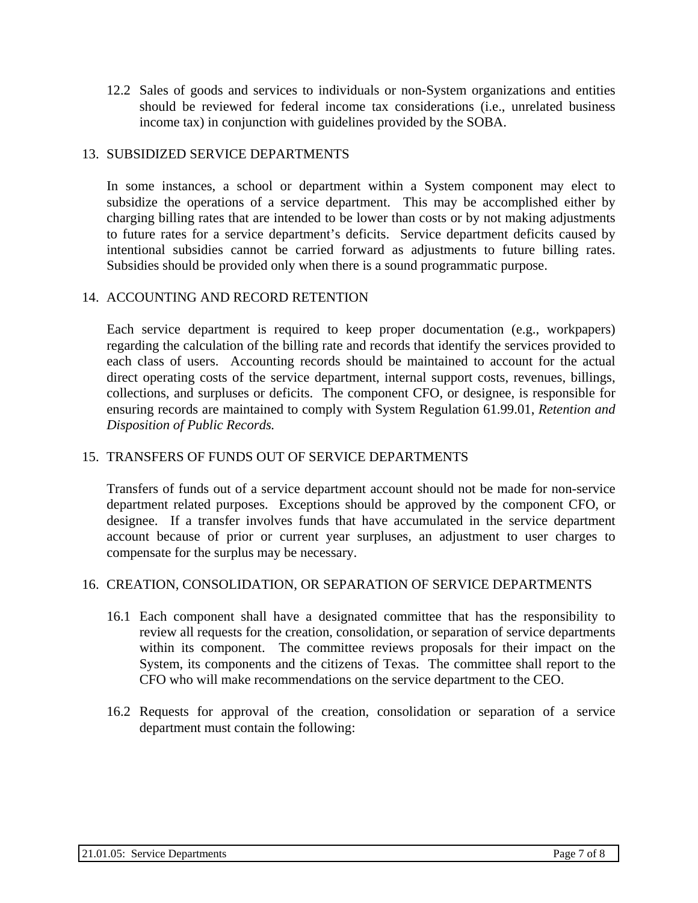12.2 Sales of goods and services to individuals or non-System organizations and entities should be reviewed for federal income tax considerations (i.e., unrelated business income tax) in conjunction with guidelines provided by the SOBA.

### 13. SUBSIDIZED SERVICE DEPARTMENTS

In some instances, a school or department within a System component may elect to subsidize the operations of a service department. This may be accomplished either by charging billing rates that are intended to be lower than costs or by not making adjustments to future rates for a service department's deficits. Service department deficits caused by intentional subsidies cannot be carried forward as adjustments to future billing rates. Subsidies should be provided only when there is a sound programmatic purpose.

### 14. ACCOUNTING AND RECORD RETENTION

Each service department is required to keep proper documentation (e.g., workpapers) regarding the calculation of the billing rate and records that identify the services provided to each class of users. Accounting records should be maintained to account for the actual direct operating costs of the service department, internal support costs, revenues, billings, collections, and surpluses or deficits. The component CFO, or designee, is responsible for ensuring records are maintained to comply with System Regulation 61.99.01, *Retention and Disposition of Public Records.* 

### 15. TRANSFERS OF FUNDS OUT OF SERVICE DEPARTMENTS

Transfers of funds out of a service department account should not be made for non-service department related purposes. Exceptions should be approved by the component CFO, or designee. If a transfer involves funds that have accumulated in the service department account because of prior or current year surpluses, an adjustment to user charges to compensate for the surplus may be necessary.

#### 16. CREATION, CONSOLIDATION, OR SEPARATION OF SERVICE DEPARTMENTS

- 16.1 Each component shall have a designated committee that has the responsibility to review all requests for the creation, consolidation, or separation of service departments within its component. The committee reviews proposals for their impact on the System, its components and the citizens of Texas. The committee shall report to the CFO who will make recommendations on the service department to the CEO.
- 16.2 Requests for approval of the creation, consolidation or separation of a service department must contain the following: